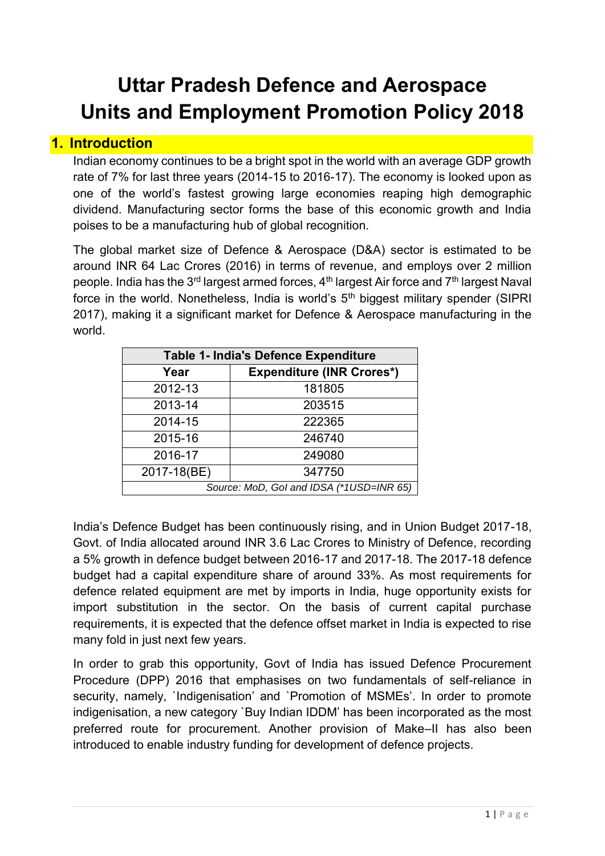# **Uttar Pradesh Defence and Aerospace Units and Employment Promotion Policy 2018**

## **1. Introduction**

Indian economy continues to be a bright spot in the world with an average GDP growth rate of 7% for last three years (2014-15 to 2016-17). The economy is looked upon as one of the world's fastest growing large economies reaping high demographic dividend. Manufacturing sector forms the base of this economic growth and India poises to be a manufacturing hub of global recognition.

The global market size of Defence & Aerospace (D&A) sector is estimated to be around INR 64 Lac Crores (2016) in terms of revenue, and employs over 2 million people. India has the 3<sup>rd</sup> largest armed forces,  $4<sup>th</sup>$  largest Air force and  $7<sup>th</sup>$  largest Naval force in the world. Nonetheless, India is world's  $5<sup>th</sup>$  biggest military spender (SIPRI) 2017), making it a significant market for Defence & Aerospace manufacturing in the world.

| Table 1- India's Defence Expenditure     |                                  |
|------------------------------------------|----------------------------------|
| Year                                     | <b>Expenditure (INR Crores*)</b> |
| 2012-13                                  | 181805                           |
| 2013-14                                  | 203515                           |
| 2014-15                                  | 222365                           |
| 2015-16                                  | 246740                           |
| 2016-17                                  | 249080                           |
| 2017-18(BE)                              | 347750                           |
| Source: MoD, Gol and IDSA (*1USD=INR 65) |                                  |

India's Defence Budget has been continuously rising, and in Union Budget 2017-18, Govt. of India allocated around INR 3.6 Lac Crores to Ministry of Defence, recording a 5% growth in defence budget between 2016-17 and 2017-18. The 2017-18 defence budget had a capital expenditure share of around 33%. As most requirements for defence related equipment are met by imports in India, huge opportunity exists for import substitution in the sector. On the basis of current capital purchase requirements, it is expected that the defence offset market in India is expected to rise many fold in just next few years.

In order to grab this opportunity, Govt of India has issued Defence Procurement Procedure (DPP) 2016 that emphasises on two fundamentals of self-reliance in security, namely, 'Indigenisation' and 'Promotion of MSMEs'. In order to promote indigenisation, a new category `Buy Indian IDDM' has been incorporated as the most preferred route for procurement. Another provision of Make–II has also been introduced to enable industry funding for development of defence projects.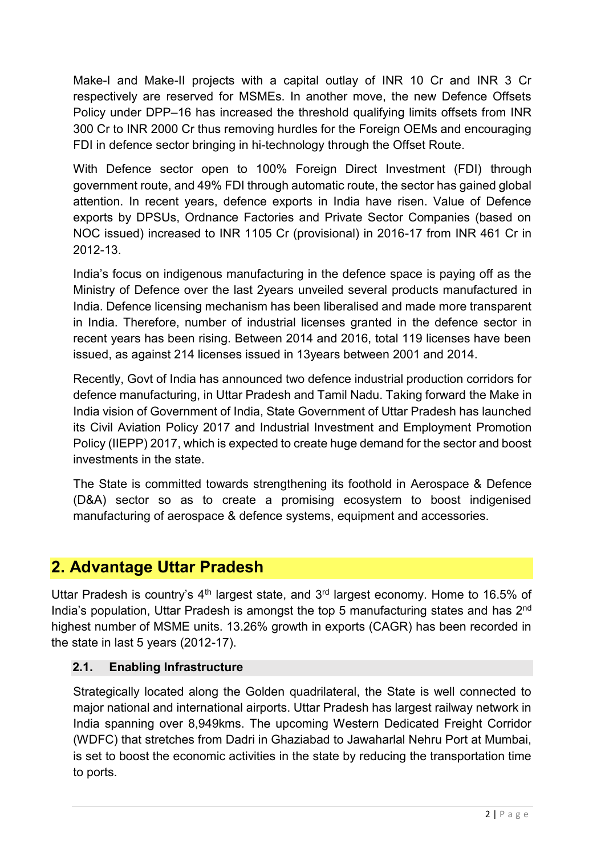Make-I and Make-II projects with a capital outlay of INR 10 Cr and INR 3 Cr respectively are reserved for MSMEs. In another move, the new Defence Offsets Policy under DPP–16 has increased the threshold qualifying limits offsets from INR 300 Cr to INR 2000 Cr thus removing hurdles for the Foreign OEMs and encouraging FDI in defence sector bringing in hi-technology through the Offset Route.

With Defence sector open to 100% Foreign Direct Investment (FDI) through government route, and 49% FDI through automatic route, the sector has gained global attention. In recent years, defence exports in India have risen. Value of Defence exports by DPSUs, Ordnance Factories and Private Sector Companies (based on NOC issued) increased to INR 1105 Cr (provisional) in 2016-17 from INR 461 Cr in 2012-13.

India's focus on indigenous manufacturing in the defence space is paying off as the Ministry of Defence over the last 2years unveiled several products manufactured in India. Defence licensing mechanism has been liberalised and made more transparent in India. Therefore, number of industrial licenses granted in the defence sector in recent years has been rising. Between 2014 and 2016, total 119 licenses have been issued, as against 214 licenses issued in 13years between 2001 and 2014.

Recently, Govt of India has announced two defence industrial production corridors for defence manufacturing, in Uttar Pradesh and Tamil Nadu. Taking forward the Make in India vision of Government of India, State Government of Uttar Pradesh has launched its Civil Aviation Policy 2017 and Industrial Investment and Employment Promotion Policy (IIEPP) 2017, which is expected to create huge demand for the sector and boost investments in the state.

The State is committed towards strengthening its foothold in Aerospace & Defence (D&A) sector so as to create a promising ecosystem to boost indigenised manufacturing of aerospace & defence systems, equipment and accessories.

## **2. Advantage Uttar Pradesh**

Uttar Pradesh is country's  $4<sup>th</sup>$  largest state, and  $3<sup>rd</sup>$  largest economy. Home to 16.5% of India's population, Uttar Pradesh is amongst the top 5 manufacturing states and has 2<sup>nd</sup> highest number of MSME units. 13.26% growth in exports (CAGR) has been recorded in the state in last 5 years (2012-17).

#### **2.1. Enabling Infrastructure**

Strategically located along the Golden quadrilateral, the State is well connected to major national and international airports. Uttar Pradesh has largest railway network in India spanning over 8,949kms. The upcoming Western Dedicated Freight Corridor (WDFC) that stretches from Dadri in Ghaziabad to Jawaharlal Nehru Port at Mumbai, is set to boost the economic activities in the state by reducing the transportation time to ports.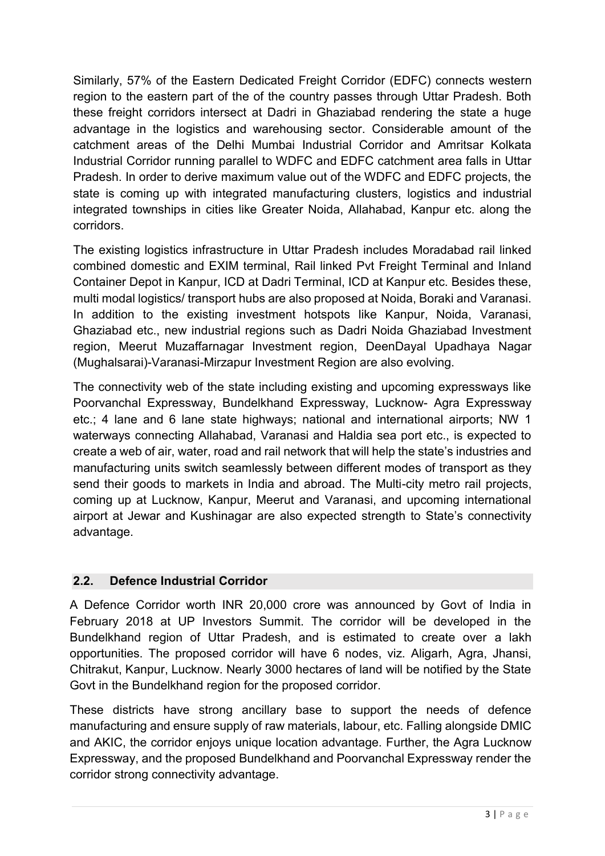Similarly, 57% of the Eastern Dedicated Freight Corridor (EDFC) connects western region to the eastern part of the of the country passes through Uttar Pradesh. Both these freight corridors intersect at Dadri in Ghaziabad rendering the state a huge advantage in the logistics and warehousing sector. Considerable amount of the catchment areas of the Delhi Mumbai Industrial Corridor and Amritsar Kolkata Industrial Corridor running parallel to WDFC and EDFC catchment area falls in Uttar Pradesh. In order to derive maximum value out of the WDFC and EDFC projects, the state is coming up with integrated manufacturing clusters, logistics and industrial integrated townships in cities like Greater Noida, Allahabad, Kanpur etc. along the corridors.

The existing logistics infrastructure in Uttar Pradesh includes Moradabad rail linked combined domestic and EXIM terminal, Rail linked Pvt Freight Terminal and Inland Container Depot in Kanpur, ICD at Dadri Terminal, ICD at Kanpur etc. Besides these, multi modal logistics/ transport hubs are also proposed at Noida, Boraki and Varanasi. In addition to the existing investment hotspots like Kanpur, Noida, Varanasi, Ghaziabad etc., new industrial regions such as Dadri Noida Ghaziabad Investment region, Meerut Muzaffarnagar Investment region, DeenDayal Upadhaya Nagar (Mughalsarai)-Varanasi-Mirzapur Investment Region are also evolving.

The connectivity web of the state including existing and upcoming expressways like Poorvanchal Expressway, Bundelkhand Expressway, Lucknow- Agra Expressway etc.; 4 lane and 6 lane state highways; national and international airports; NW 1 waterways connecting Allahabad, Varanasi and Haldia sea port etc., is expected to create a web of air, water, road and rail network that will help the state's industries and manufacturing units switch seamlessly between different modes of transport as they send their goods to markets in India and abroad. The Multi-city metro rail projects, coming up at Lucknow, Kanpur, Meerut and Varanasi, and upcoming international airport at Jewar and Kushinagar are also expected strength to State's connectivity advantage.

#### **2.2. Defence Industrial Corridor**

A Defence Corridor worth INR 20,000 crore was announced by Govt of India in February 2018 at UP Investors Summit. The corridor will be developed in the Bundelkhand region of Uttar Pradesh, and is estimated to create over a lakh opportunities. The proposed corridor will have 6 nodes, viz. Aligarh, Agra, Jhansi, Chitrakut, Kanpur, Lucknow. Nearly 3000 hectares of land will be notified by the State Govt in the Bundelkhand region for the proposed corridor.

These districts have strong ancillary base to support the needs of defence manufacturing and ensure supply of raw materials, labour, etc. Falling alongside DMIC and AKIC, the corridor enjoys unique location advantage. Further, the Agra Lucknow Expressway, and the proposed Bundelkhand and Poorvanchal Expressway render the corridor strong connectivity advantage.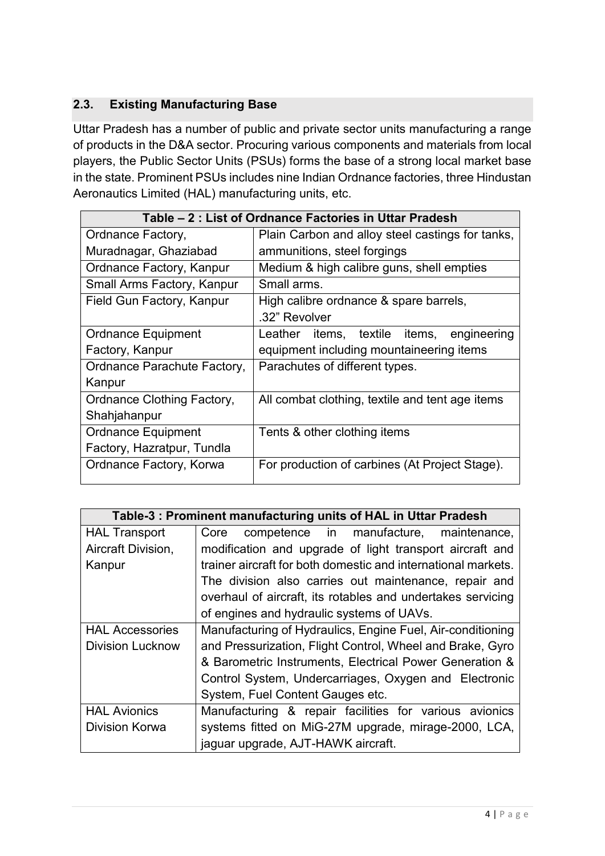#### **2.3. Existing Manufacturing Base**

Uttar Pradesh has a number of public and private sector units manufacturing a range of products in the D&A sector. Procuring various components and materials from local players, the Public Sector Units (PSUs) forms the base of a strong local market base in the state. Prominent PSUs includes nine Indian Ordnance factories, three Hindustan Aeronautics Limited (HAL) manufacturing units, etc.

| Table – 2 : List of Ordnance Factories in Uttar Pradesh |                                                  |  |
|---------------------------------------------------------|--------------------------------------------------|--|
| Ordnance Factory,                                       | Plain Carbon and alloy steel castings for tanks, |  |
| Muradnagar, Ghaziabad                                   | ammunitions, steel forgings                      |  |
| Ordnance Factory, Kanpur                                | Medium & high calibre guns, shell empties        |  |
| Small Arms Factory, Kanpur                              | Small arms.                                      |  |
| Field Gun Factory, Kanpur                               | High calibre ordnance & spare barrels,           |  |
|                                                         | .32" Revolver                                    |  |
| <b>Ordnance Equipment</b>                               | Leather items, textile items,<br>engineering     |  |
| Factory, Kanpur                                         | equipment including mountaineering items         |  |
| Ordnance Parachute Factory,                             | Parachutes of different types.                   |  |
| Kanpur                                                  |                                                  |  |
| Ordnance Clothing Factory,                              | All combat clothing, textile and tent age items  |  |
| Shahjahanpur                                            |                                                  |  |
| <b>Ordnance Equipment</b>                               | Tents & other clothing items                     |  |
| Factory, Hazratpur, Tundla                              |                                                  |  |
| Ordnance Factory, Korwa                                 | For production of carbines (At Project Stage).   |  |

| Table-3: Prominent manufacturing units of HAL in Uttar Pradesh |                                                               |  |
|----------------------------------------------------------------|---------------------------------------------------------------|--|
| <b>HAL Transport</b>                                           | competence in manufacture, maintenance,<br>Core               |  |
| Aircraft Division,                                             | modification and upgrade of light transport aircraft and      |  |
| Kanpur                                                         | trainer aircraft for both domestic and international markets. |  |
|                                                                | The division also carries out maintenance, repair and         |  |
|                                                                | overhaul of aircraft, its rotables and undertakes servicing   |  |
|                                                                | of engines and hydraulic systems of UAVs.                     |  |
| <b>HAL Accessories</b>                                         | Manufacturing of Hydraulics, Engine Fuel, Air-conditioning    |  |
| <b>Division Lucknow</b>                                        | and Pressurization, Flight Control, Wheel and Brake, Gyro     |  |
|                                                                | & Barometric Instruments, Electrical Power Generation &       |  |
|                                                                | Control System, Undercarriages, Oxygen and Electronic         |  |
|                                                                | System, Fuel Content Gauges etc.                              |  |
| <b>HAL Avionics</b>                                            | Manufacturing & repair facilities for various avionics        |  |
| Division Korwa                                                 | systems fitted on MiG-27M upgrade, mirage-2000, LCA,          |  |
|                                                                | jaguar upgrade, AJT-HAWK aircraft.                            |  |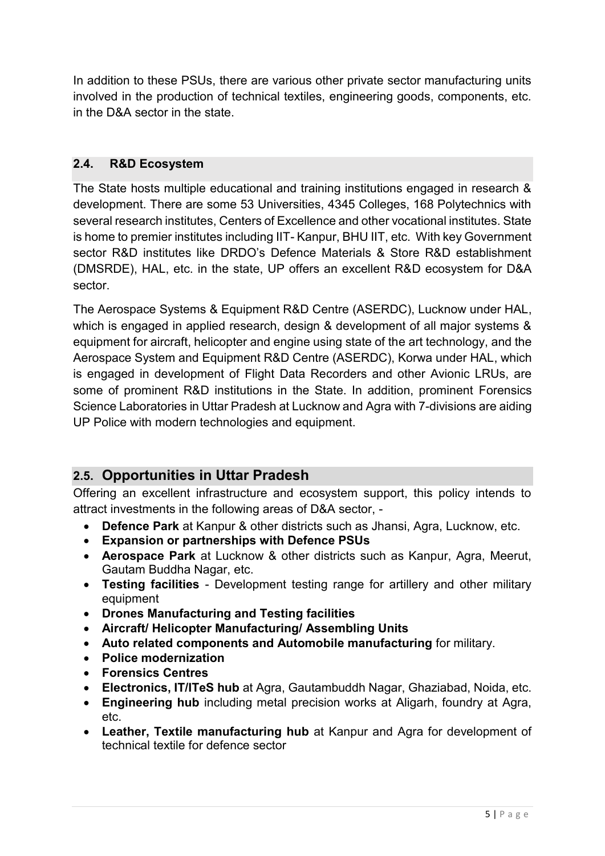In addition to these PSUs, there are various other private sector manufacturing units involved in the production of technical textiles, engineering goods, components, etc. in the D&A sector in the state.

#### **2.4. R&D Ecosystem**

The State hosts multiple educational and training institutions engaged in research & development. There are some 53 Universities, 4345 Colleges, 168 Polytechnics with several research institutes, Centers of Excellence and other vocational institutes. State is home to premier institutes including IIT- Kanpur, BHU IIT, etc. With key Government sector R&D institutes like DRDO's Defence Materials & Store R&D establishment (DMSRDE), HAL, etc. in the state, UP offers an excellent R&D ecosystem for D&A sector.

The Aerospace Systems & Equipment R&D Centre (ASERDC), Lucknow under HAL, which is engaged in applied research, design & development of all major systems & equipment for aircraft, helicopter and engine using state of the art technology, and the Aerospace System and Equipment R&D Centre (ASERDC), Korwa under HAL, which is engaged in development of Flight Data Recorders and other Avionic LRUs, are some of prominent R&D institutions in the State. In addition, prominent Forensics Science Laboratories in Uttar Pradesh at Lucknow and Agra with 7-divisions are aiding UP Police with modern technologies and equipment.

## **2.5. Opportunities in Uttar Pradesh**

Offering an excellent infrastructure and ecosystem support, this policy intends to attract investments in the following areas of D&A sector, -

- **Defence Park** at Kanpur & other districts such as Jhansi, Agra, Lucknow, etc.
- **Expansion or partnerships with Defence PSUs**
- **Aerospace Park** at Lucknow & other districts such as Kanpur, Agra, Meerut, Gautam Buddha Nagar, etc.
- **Testing facilities** Development testing range for artillery and other military equipment
- **Drones Manufacturing and Testing facilities**
- **Aircraft/ Helicopter Manufacturing/ Assembling Units**
- **Auto related components and Automobile manufacturing** for military.
- **Police modernization**
- **Forensics Centres**
- **Electronics, IT/ITeS hub** at Agra, Gautambuddh Nagar, Ghaziabad, Noida, etc.
- **Engineering hub** including metal precision works at Aligarh, foundry at Agra, etc.
- **Leather, Textile manufacturing hub** at Kanpur and Agra for development of technical textile for defence sector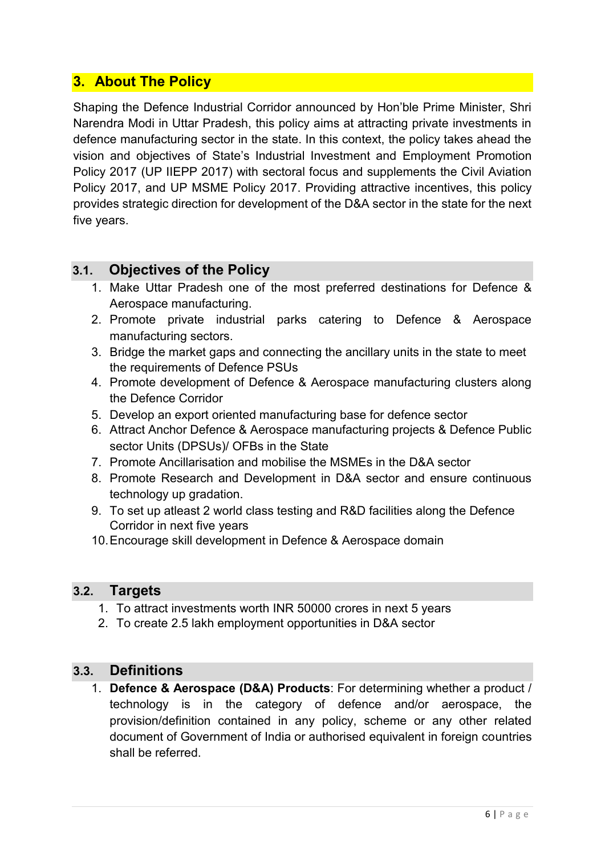## **3. About The Policy**

Shaping the Defence Industrial Corridor announced by Hon'ble Prime Minister, Shri Narendra Modi in Uttar Pradesh, this policy aims at attracting private investments in defence manufacturing sector in the state. In this context, the policy takes ahead the vision and objectives of State's Industrial Investment and Employment Promotion Policy 2017 (UP IIEPP 2017) with sectoral focus and supplements the Civil Aviation Policy 2017, and UP MSME Policy 2017. Providing attractive incentives, this policy provides strategic direction for development of the D&A sector in the state for the next five years.

#### **3.1. Objectives of the Policy**

- 1. Make Uttar Pradesh one of the most preferred destinations for Defence & Aerospace manufacturing.
- 2. Promote private industrial parks catering to Defence & Aerospace manufacturing sectors.
- 3. Bridge the market gaps and connecting the ancillary units in the state to meet the requirements of Defence PSUs
- 4. Promote development of Defence & Aerospace manufacturing clusters along the Defence Corridor
- 5. Develop an export oriented manufacturing base for defence sector
- 6. Attract Anchor Defence & Aerospace manufacturing projects & Defence Public sector Units (DPSUs)/ OFBs in the State
- 7. Promote Ancillarisation and mobilise the MSMEs in the D&A sector
- 8. Promote Research and Development in D&A sector and ensure continuous technology up gradation.
- 9. To set up atleast 2 world class testing and R&D facilities along the Defence Corridor in next five years
- 10. Encourage skill development in Defence & Aerospace domain

#### **3.2. Targets**

- 1. To attract investments worth INR 50000 crores in next 5 years
- 2. To create 2.5 lakh employment opportunities in D&A sector

#### **3.3. Definitions**

1. **Defence & Aerospace (D&A) Products**: For determining whether a product / technology is in the category of defence and/or aerospace, the provision/definition contained in any policy, scheme or any other related document of Government of India or authorised equivalent in foreign countries shall be referred.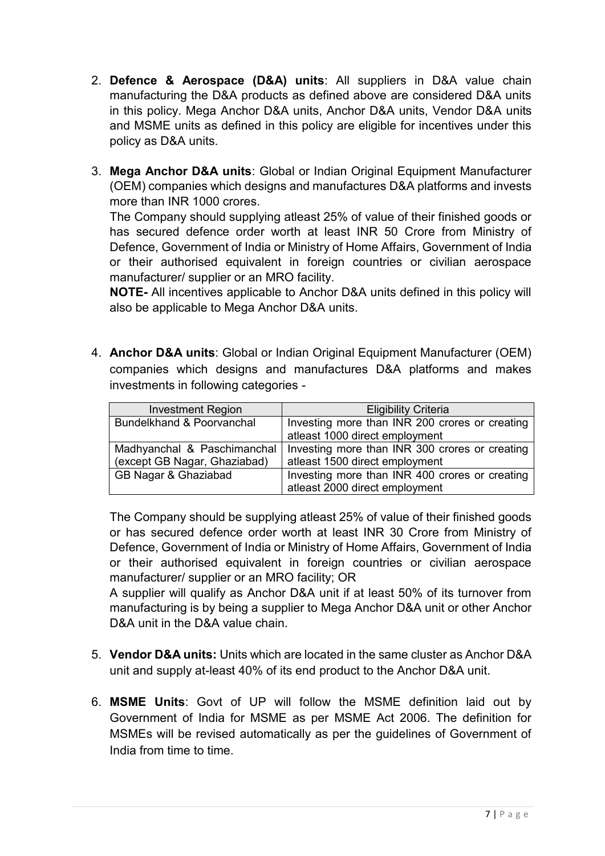- 2. **Defence & Aerospace (D&A) units**: All suppliers in D&A value chain manufacturing the D&A products as defined above are considered D&A units in this policy. Mega Anchor D&A units, Anchor D&A units, Vendor D&A units and MSME units as defined in this policy are eligible for incentives under this policy as D&A units.
- 3. **Mega Anchor D&A units**: Global or Indian Original Equipment Manufacturer (OEM) companies which designs and manufactures D&A platforms and invests more than INR 1000 crores.

The Company should supplying atleast 25% of value of their finished goods or has secured defence order worth at least INR 50 Crore from Ministry of Defence, Government of India or Ministry of Home Affairs, Government of India or their authorised equivalent in foreign countries or civilian aerospace manufacturer/ supplier or an MRO facility.

**NOTE-** All incentives applicable to Anchor D&A units defined in this policy will also be applicable to Mega Anchor D&A units.

4. **Anchor D&A units**: Global or Indian Original Equipment Manufacturer (OEM) companies which designs and manufactures D&A platforms and makes investments in following categories -

| <b>Investment Region</b>     | <b>Eligibility Criteria</b>                    |
|------------------------------|------------------------------------------------|
| Bundelkhand & Poorvanchal    | Investing more than INR 200 crores or creating |
|                              | atleast 1000 direct employment                 |
| Madhyanchal & Paschimanchal  | Investing more than INR 300 crores or creating |
| (except GB Nagar, Ghaziabad) | atleast 1500 direct employment                 |
| GB Nagar & Ghaziabad         | Investing more than INR 400 crores or creating |
|                              | atleast 2000 direct employment                 |

The Company should be supplying atleast 25% of value of their finished goods or has secured defence order worth at least INR 30 Crore from Ministry of Defence, Government of India or Ministry of Home Affairs, Government of India or their authorised equivalent in foreign countries or civilian aerospace manufacturer/ supplier or an MRO facility; OR

A supplier will qualify as Anchor D&A unit if at least 50% of its turnover from manufacturing is by being a supplier to Mega Anchor D&A unit or other Anchor D&A unit in the D&A value chain.

- 5. **Vendor D&A units:** Units which are located in the same cluster as Anchor D&A unit and supply at-least 40% of its end product to the Anchor D&A unit.
- 6. **MSME Units**: Govt of UP will follow the MSME definition laid out by Government of India for MSME as per MSME Act 2006. The definition for MSMEs will be revised automatically as per the guidelines of Government of India from time to time.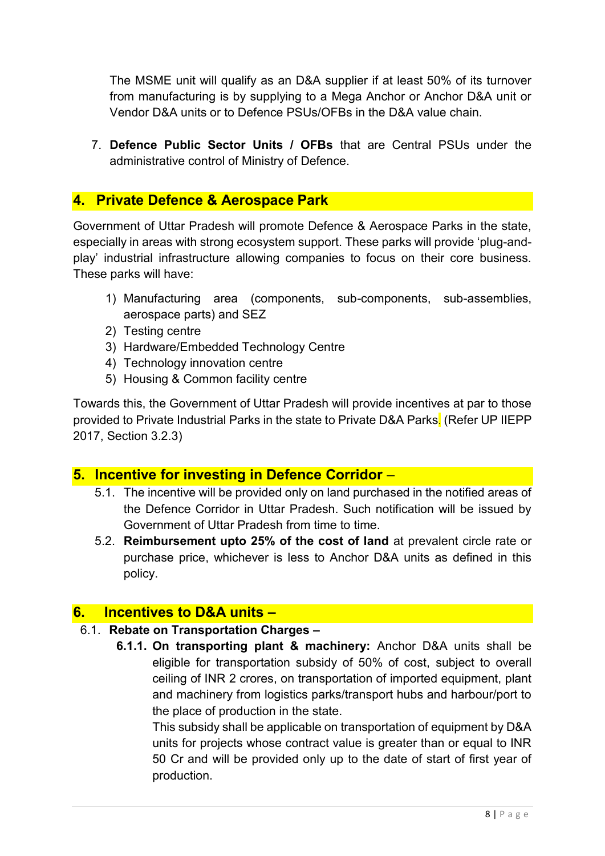The MSME unit will qualify as an D&A supplier if at least 50% of its turnover from manufacturing is by supplying to a Mega Anchor or Anchor D&A unit or Vendor D&A units or to Defence PSUs/OFBs in the D&A value chain.

7. **Defence Public Sector Units / OFBs** that are Central PSUs under the administrative control of Ministry of Defence.

## **4. Private Defence & Aerospace Park**

Government of Uttar Pradesh will promote Defence & Aerospace Parks in the state, especially in areas with strong ecosystem support. These parks will provide 'plug-andplay' industrial infrastructure allowing companies to focus on their core business. These parks will have:

- 1) Manufacturing area (components, sub-components, sub-assemblies, aerospace parts) and SEZ
- 2) Testing centre
- 3) Hardware/Embedded Technology Centre
- 4) Technology innovation centre
- 5) Housing & Common facility centre

Towards this, the Government of Uttar Pradesh will provide incentives at par to those provided to Private Industrial Parks in the state to Private D&A Parks. (Refer UP IIEPP 2017, Section 3.2.3)

## **5. Incentive for investing in Defence Corridor** –

- 5.1. The incentive will be provided only on land purchased in the notified areas of the Defence Corridor in Uttar Pradesh. Such notification will be issued by Government of Uttar Pradesh from time to time.
- 5.2. **Reimbursement upto 25% of the cost of land** at prevalent circle rate or purchase price, whichever is less to Anchor D&A units as defined in this policy.

#### **6. Incentives to D&A units –**

#### 6.1. **Rebate on Transportation Charges –**

**6.1.1. On transporting plant & machinery:** Anchor D&A units shall be eligible for transportation subsidy of 50% of cost, subject to overall ceiling of INR 2 crores, on transportation of imported equipment, plant and machinery from logistics parks/transport hubs and harbour/port to the place of production in the state.

This subsidy shall be applicable on transportation of equipment by D&A units for projects whose contract value is greater than or equal to INR 50 Cr and will be provided only up to the date of start of first year of production.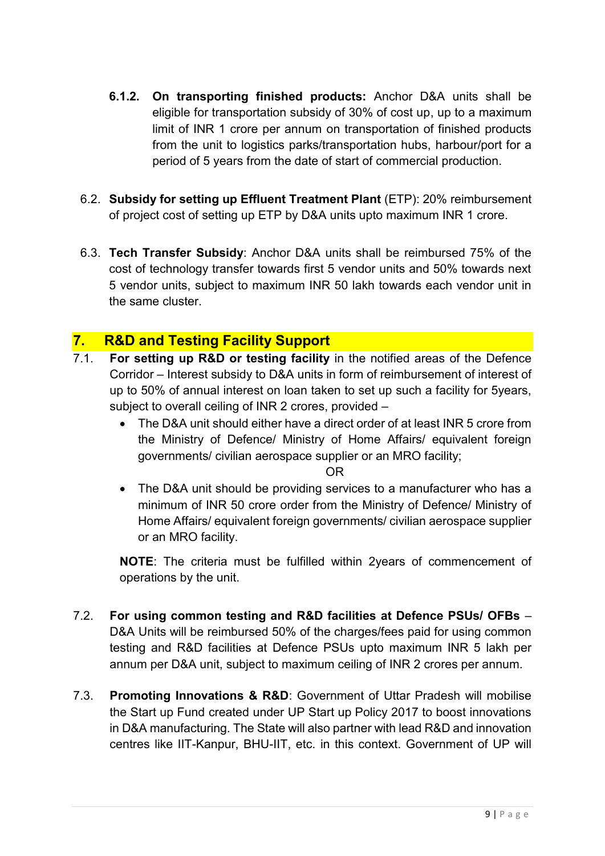- **6.1.2. On transporting finished products:** Anchor D&A units shall be eligible for transportation subsidy of 30% of cost up, up to a maximum limit of INR 1 crore per annum on transportation of finished products from the unit to logistics parks/transportation hubs, harbour/port for a period of 5 years from the date of start of commercial production.
- 6.2. **Subsidy for setting up Effluent Treatment Plant** (ETP): 20% reimbursement of project cost of setting up ETP by D&A units upto maximum INR 1 crore.
- 6.3. **Tech Transfer Subsidy**: Anchor D&A units shall be reimbursed 75% of the cost of technology transfer towards first 5 vendor units and 50% towards next 5 vendor units, subject to maximum INR 50 lakh towards each vendor unit in the same cluster.

## **7. R&D and Testing Facility Support**

- 7.1. **For setting up R&D or testing facility** in the notified areas of the Defence Corridor – Interest subsidy to D&A units in form of reimbursement of interest of up to 50% of annual interest on loan taken to set up such a facility for 5years, subject to overall ceiling of INR 2 crores, provided –
	- The D&A unit should either have a direct order of at least INR 5 crore from the Ministry of Defence/ Ministry of Home Affairs/ equivalent foreign governments/ civilian aerospace supplier or an MRO facility;

OR

• The D&A unit should be providing services to a manufacturer who has a minimum of INR 50 crore order from the Ministry of Defence/ Ministry of Home Affairs/ equivalent foreign governments/ civilian aerospace supplier or an MRO facility.

**NOTE**: The criteria must be fulfilled within 2years of commencement of operations by the unit.

- 7.2. **For using common testing and R&D facilities at Defence PSUs/ OFBs** D&A Units will be reimbursed 50% of the charges/fees paid for using common testing and R&D facilities at Defence PSUs upto maximum INR 5 lakh per annum per D&A unit, subject to maximum ceiling of INR 2 crores per annum.
- 7.3. **Promoting Innovations & R&D**: Government of Uttar Pradesh will mobilise the Start up Fund created under UP Start up Policy 2017 to boost innovations in D&A manufacturing. The State will also partner with lead R&D and innovation centres like IIT-Kanpur, BHU-IIT, etc. in this context. Government of UP will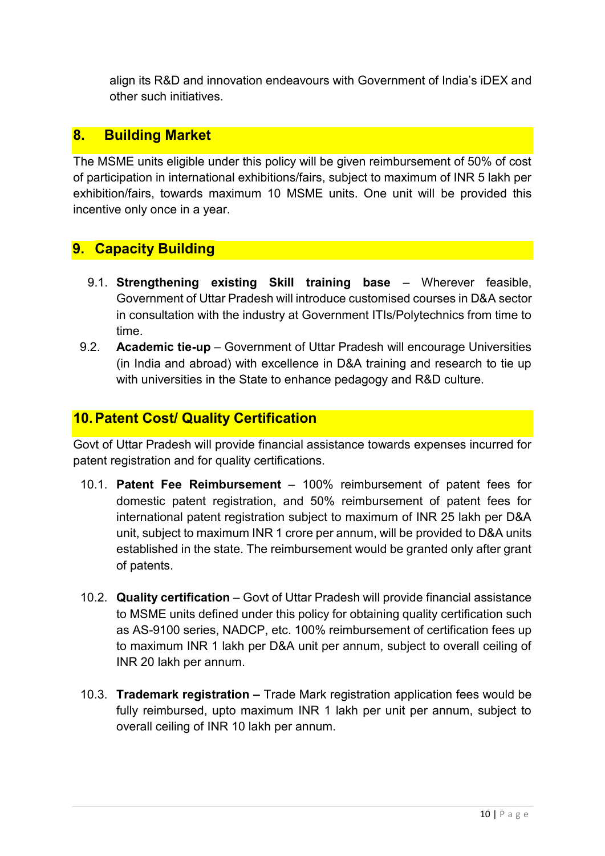align its R&D and innovation endeavours with Government of India's iDEX and other such initiatives.

## **8. Building Market**

The MSME units eligible under this policy will be given reimbursement of 50% of cost of participation in international exhibitions/fairs, subject to maximum of INR 5 lakh per exhibition/fairs, towards maximum 10 MSME units. One unit will be provided this incentive only once in a year.

## **9. Capacity Building**

- 9.1. **Strengthening existing Skill training base** Wherever feasible, Government of Uttar Pradesh will introduce customised courses in D&A sector in consultation with the industry at Government ITIs/Polytechnics from time to time.
- 9.2. **Academic tie-up** Government of Uttar Pradesh will encourage Universities (in India and abroad) with excellence in D&A training and research to tie up with universities in the State to enhance pedagogy and R&D culture.

### **10. Patent Cost/ Quality Certification**

Govt of Uttar Pradesh will provide financial assistance towards expenses incurred for patent registration and for quality certifications.

- 10.1. **Patent Fee Reimbursement** 100% reimbursement of patent fees for domestic patent registration, and 50% reimbursement of patent fees for international patent registration subject to maximum of INR 25 lakh per D&A unit, subject to maximum INR 1 crore per annum, will be provided to D&A units established in the state. The reimbursement would be granted only after grant of patents.
- 10.2. **Quality certification**  Govt of Uttar Pradesh will provide financial assistance to MSME units defined under this policy for obtaining quality certification such as AS-9100 series, NADCP, etc. 100% reimbursement of certification fees up to maximum INR 1 lakh per D&A unit per annum, subject to overall ceiling of INR 20 lakh per annum.
- 10.3. **Trademark registration** Trade Mark registration application fees would be fully reimbursed, upto maximum INR 1 lakh per unit per annum, subject to overall ceiling of INR 10 lakh per annum.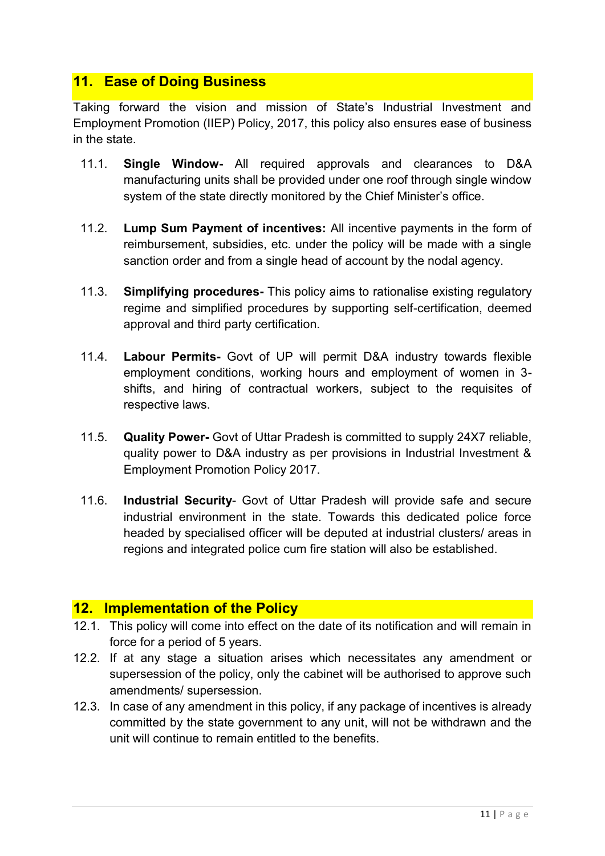## **11. Ease of Doing Business**

Taking forward the vision and mission of State's Industrial Investment and Employment Promotion (IIEP) Policy, 2017, this policy also ensures ease of business in the state.

- 11.1. **Single Window-** All required approvals and clearances to D&A manufacturing units shall be provided under one roof through single window system of the state directly monitored by the Chief Minister's office.
- 11.2. **Lump Sum Payment of incentives:** All incentive payments in the form of reimbursement, subsidies, etc. under the policy will be made with a single sanction order and from a single head of account by the nodal agency.
- 11.3. **Simplifying procedures-** This policy aims to rationalise existing regulatory regime and simplified procedures by supporting self-certification, deemed approval and third party certification.
- 11.4. **Labour Permits-** Govt of UP will permit D&A industry towards flexible employment conditions, working hours and employment of women in 3 shifts, and hiring of contractual workers, subject to the requisites of respective laws.
- 11.5. **Quality Power-** Govt of Uttar Pradesh is committed to supply 24X7 reliable, quality power to D&A industry as per provisions in Industrial Investment & Employment Promotion Policy 2017.
- 11.6. **Industrial Security** Govt of Uttar Pradesh will provide safe and secure industrial environment in the state. Towards this dedicated police force headed by specialised officer will be deputed at industrial clusters/ areas in regions and integrated police cum fire station will also be established.

#### **12. Implementation of the Policy**

- 12.1. This policy will come into effect on the date of its notification and will remain in force for a period of 5 years.
- 12.2. If at any stage a situation arises which necessitates any amendment or supersession of the policy, only the cabinet will be authorised to approve such amendments/ supersession.
- 12.3. In case of any amendment in this policy, if any package of incentives is already committed by the state government to any unit, will not be withdrawn and the unit will continue to remain entitled to the benefits.